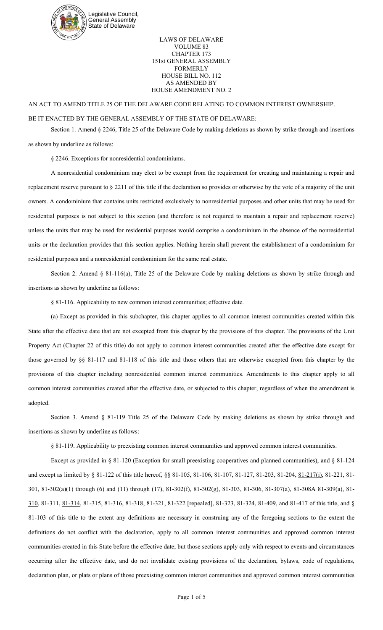

LAWS OF DELAWARE VOLUME 83 CHAPTER 173 151st GENERAL ASSEMBLY FORMERLY HOUSE BILL NO. 112 AS AMENDED BY HOUSE AMENDMENT NO. 2

## AN ACT TO AMEND TITLE 25 OF THE DELAWARE CODE RELATING TO COMMON INTEREST OWNERSHIP.

## BE IT ENACTED BY THE GENERAL ASSEMBLY OF THE STATE OF DELAWARE:

Section 1. Amend § 2246, Title 25 of the Delaware Code by making deletions as shown by strike through and insertions as shown by underline as follows:

§ 2246. Exceptions for nonresidential condominiums.

A nonresidential condominium may elect to be exempt from the requirement for creating and maintaining a repair and replacement reserve pursuant to § 2211 of this title if the declaration so provides or otherwise by the vote of a majority of the unit owners. A condominium that contains units restricted exclusively to nonresidential purposes and other units that may be used for residential purposes is not subject to this section (and therefore is not required to maintain a repair and replacement reserve) unless the units that may be used for residential purposes would comprise a condominium in the absence of the nonresidential units or the declaration provides that this section applies. Nothing herein shall prevent the establishment of a condominium for residential purposes and a nonresidential condominium for the same real estate.

Section 2. Amend § 81-116(a), Title 25 of the Delaware Code by making deletions as shown by strike through and insertions as shown by underline as follows:

§ 81-116. Applicability to new common interest communities; effective date.

(a) Except as provided in this subchapter, this chapter applies to all common interest communities created within this State after the effective date that are not excepted from this chapter by the provisions of this chapter. The provisions of the Unit Property Act (Chapter 22 of this title) do not apply to common interest communities created after the effective date except for those governed by §§ 81-117 and 81-118 of this title and those others that are otherwise excepted from this chapter by the provisions of this chapter including nonresidential common interest communities. Amendments to this chapter apply to all common interest communities created after the effective date, or subjected to this chapter, regardless of when the amendment is adopted.

Section 3. Amend § 81-119 Title 25 of the Delaware Code by making deletions as shown by strike through and insertions as shown by underline as follows:

§ 81-119. Applicability to preexisting common interest communities and approved common interest communities.

Except as provided in § 81-120 (Exception for small preexisting cooperatives and planned communities), and § 81-124 and except as limited by § 81-122 of this title hereof, §§ 81-105, 81-106, 81-107, 81-127, 81-203, 81-204, 81-217(i), 81-221, 81-301, 81-302(a)(1) through (6) and (11) through (17), 81-302(f), 81-302(g), 81-303, 81-306, 81-307(a), 81-308A 81-309(a), 81- 310, 81-311, 81-314, 81-315, 81-316, 81-318, 81-321, 81-322 [repealed], 81-323, 81-324, 81-409, and 81-417 of this title, and § 81-103 of this title to the extent any definitions are necessary in construing any of the foregoing sections to the extent the definitions do not conflict with the declaration, apply to all common interest communities and approved common interest communities created in this State before the effective date; but those sections apply only with respect to events and circumstances occurring after the effective date, and do not invalidate existing provisions of the declaration, bylaws, code of regulations, declaration plan, or plats or plans of those preexisting common interest communities and approved common interest communities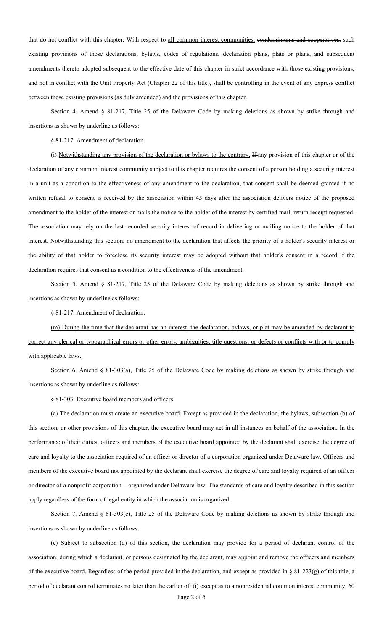that do not conflict with this chapter. With respect to all common interest communities, condominiums and cooperatives, such existing provisions of those declarations, bylaws, codes of regulations, declaration plans, plats or plans, and subsequent amendments thereto adopted subsequent to the effective date of this chapter in strict accordance with those existing provisions, and not in conflict with the Unit Property Act (Chapter 22 of this title), shall be controlling in the event of any express conflict between those existing provisions (as duly amended) and the provisions of this chapter.

Section 4. Amend § 81-217, Title 25 of the Delaware Code by making deletions as shown by strike through and insertions as shown by underline as follows:

§ 81-217. Amendment of declaration.

(i) Notwithstanding any provision of the declaration or bylaws to the contrary, If any provision of this chapter or of the declaration of any common interest community subject to this chapter requires the consent of a person holding a security interest in a unit as a condition to the effectiveness of any amendment to the declaration, that consent shall be deemed granted if no written refusal to consent is received by the association within 45 days after the association delivers notice of the proposed amendment to the holder of the interest or mails the notice to the holder of the interest by certified mail, return receipt requested. The association may rely on the last recorded security interest of record in delivering or mailing notice to the holder of that interest. Notwithstanding this section, no amendment to the declaration that affects the priority of a holder's security interest or the ability of that holder to foreclose its security interest may be adopted without that holder's consent in a record if the declaration requires that consent as a condition to the effectiveness of the amendment.

Section 5. Amend § 81-217, Title 25 of the Delaware Code by making deletions as shown by strike through and insertions as shown by underline as follows:

§ 81-217. Amendment of declaration.

(m) During the time that the declarant has an interest, the declaration, bylaws, or plat may be amended by declarant to correct any clerical or typographical errors or other errors, ambiguities, title questions, or defects or conflicts with or to comply with applicable laws.

Section 6. Amend § 81-303(a), Title 25 of the Delaware Code by making deletions as shown by strike through and insertions as shown by underline as follows:

§ 81-303. Executive board members and officers.

(a) The declaration must create an executive board. Except as provided in the declaration, the bylaws, subsection (b) of this section, or other provisions of this chapter, the executive board may act in all instances on behalf of the association. In the performance of their duties, officers and members of the executive board appointed by the declarant shall exercise the degree of care and loyalty to the association required of an officer or director of a corporation organized under Delaware law. Officers and members of the executive board not appointed by the declarant shall exercise the degree of care and loyalty required of an officer or director of a nonprofit corporation organized under Delaware law. The standards of care and loyalty described in this section apply regardless of the form of legal entity in which the association is organized.

Section 7. Amend § 81-303(c), Title 25 of the Delaware Code by making deletions as shown by strike through and insertions as shown by underline as follows:

(c) Subject to subsection (d) of this section, the declaration may provide for a period of declarant control of the association, during which a declarant, or persons designated by the declarant, may appoint and remove the officers and members of the executive board. Regardless of the period provided in the declaration, and except as provided in § 81-223(g) of this title, a period of declarant control terminates no later than the earlier of: (i) except as to a nonresidential common interest community, 60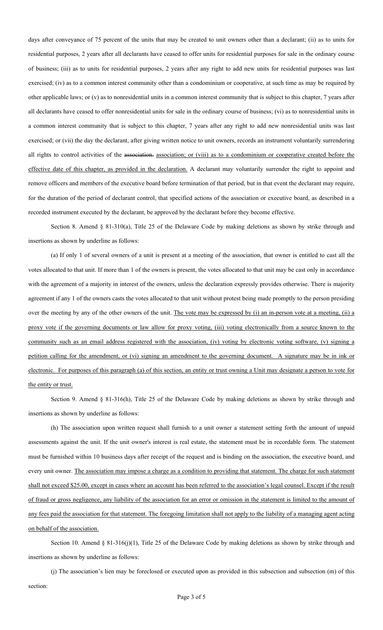days after conveyance of 75 percent of the units that may be created to unit owners other than a declarant; (ii) as to units for residential purposes, 2 years after all declarants have ceased to offer units for residential purposes for sale in the ordinary course of business; (iii) as to units for residential purposes, 2 years after any right to add new units for residential purposes was last exercised; (iv) as to a common interest community other than a condominium or cooperative, at such time as may be required by other applicable laws; or (v) as to nonresidential units in a common interest community that is subject to this chapter, 7 years after all declarants have ceased to offer nonresidential units for sale in the ordinary course of business; (vi) as to nonresidential units in a common interest community that is subject to this chapter, 7 years after any right to add new nonresidential units was last exercised; or (vii) the day the declarant, after giving written notice to unit owners, records an instrument voluntarily surrendering all rights to control activities of the association. association; or (viii) as to a condominium or cooperative created before the effective date of this chapter, as provided in the declaration. A declarant may voluntarily surrender the right to appoint and remove officers and members of the executive board before termination of that period, but in that event the declarant may require, for the duration of the period of declarant control, that specified actions of the association or executive board, as described in a recorded instrument executed by the declarant, be approved by the declarant before they become effective.

Section 8. Amend § 81-310(a), Title 25 of the Delaware Code by making deletions as shown by strike through and insertions as shown by underline as follows:

(a) If only 1 of several owners of a unit is present at a meeting of the association, that owner is entitled to cast all the votes allocated to that unit. If more than 1 of the owners is present, the votes allocated to that unit may be cast only in accordance with the agreement of a majority in interest of the owners, unless the declaration expressly provides otherwise. There is majority agreement if any 1 of the owners casts the votes allocated to that unit without protest being made promptly to the person presiding over the meeting by any of the other owners of the unit. The vote may be expressed by (i) an in-person vote at a meeting, (ii) a proxy vote if the governing documents or law allow for proxy voting, (iii) voting electronically from a source known to the community such as an email address registered with the association, (iv) voting by electronic voting software, (v) signing a petition calling for the amendment, or (vi) signing an amendment to the governing document. A signature may be in ink or electronic. For purposes of this paragraph (a) of this section, an entity or trust owning a Unit may designate a person to vote for the entity or trust.

Section 9. Amend § 81-316(h), Title 25 of the Delaware Code by making deletions as shown by strike through and insertions as shown by underline as follows:

(h) The association upon written request shall furnish to a unit owner a statement setting forth the amount of unpaid assessments against the unit. If the unit owner's interest is real estate, the statement must be in recordable form. The statement must be furnished within 10 business days after receipt of the request and is binding on the association, the executive board, and every unit owner. The association may impose a charge as a condition to providing that statement. The charge for such statement shall not exceed \$25.00, except in cases where an account has been referred to the association's legal counsel. Except if the result of fraud or gross negligence, any liability of the association for an error or omission in the statement is limited to the amount of any fees paid the association for that statement. The foregoing limitation shall not apply to the liability of a managing agent acting on behalf of the association.

Section 10. Amend § 81-316(j)(1), Title 25 of the Delaware Code by making deletions as shown by strike through and insertions as shown by underline as follows:

(j) The association's lien may be foreclosed or executed upon as provided in this subsection and subsection (m) of this section: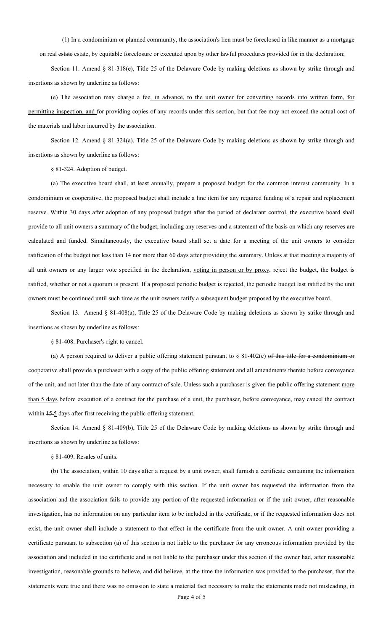(1) In a condominium or planned community, the association's lien must be foreclosed in like manner as a mortgage

on real estate estate, by equitable foreclosure or executed upon by other lawful procedures provided for in the declaration;

Section 11. Amend § 81-318(e), Title 25 of the Delaware Code by making deletions as shown by strike through and insertions as shown by underline as follows:

(e) The association may charge a fee, in advance, to the unit owner for converting records into written form, for permitting inspection, and for providing copies of any records under this section, but that fee may not exceed the actual cost of the materials and labor incurred by the association.

Section 12. Amend § 81-324(a), Title 25 of the Delaware Code by making deletions as shown by strike through and insertions as shown by underline as follows:

§ 81-324. Adoption of budget.

(a) The executive board shall, at least annually, prepare a proposed budget for the common interest community. In a condominium or cooperative, the proposed budget shall include a line item for any required funding of a repair and replacement reserve. Within 30 days after adoption of any proposed budget after the period of declarant control, the executive board shall provide to all unit owners a summary of the budget, including any reserves and a statement of the basis on which any reserves are calculated and funded. Simultaneously, the executive board shall set a date for a meeting of the unit owners to consider ratification of the budget not less than 14 nor more than 60 days after providing the summary. Unless at that meeting a majority of all unit owners or any larger vote specified in the declaration, voting in person or by proxy, reject the budget, the budget is ratified, whether or not a quorum is present. If a proposed periodic budget is rejected, the periodic budget last ratified by the unit owners must be continued until such time as the unit owners ratify a subsequent budget proposed by the executive board.

Section 13. Amend § 81-408(a), Title 25 of the Delaware Code by making deletions as shown by strike through and insertions as shown by underline as follows:

§ 81-408. Purchaser's right to cancel.

(a) A person required to deliver a public offering statement pursuant to  $\S$  81-402(c) of this title for a condominium or cooperative shall provide a purchaser with a copy of the public offering statement and all amendments thereto before conveyance of the unit, and not later than the date of any contract of sale. Unless such a purchaser is given the public offering statement more than 5 days before execution of a contract for the purchase of a unit, the purchaser, before conveyance, may cancel the contract within  $15-5$  days after first receiving the public offering statement.

Section 14. Amend § 81-409(b), Title 25 of the Delaware Code by making deletions as shown by strike through and insertions as shown by underline as follows:

§ 81-409. Resales of units.

(b) The association, within 10 days after a request by a unit owner, shall furnish a certificate containing the information necessary to enable the unit owner to comply with this section. If the unit owner has requested the information from the association and the association fails to provide any portion of the requested information or if the unit owner, after reasonable investigation, has no information on any particular item to be included in the certificate, or if the requested information does not exist, the unit owner shall include a statement to that effect in the certificate from the unit owner. A unit owner providing a certificate pursuant to subsection (a) of this section is not liable to the purchaser for any erroneous information provided by the association and included in the certificate and is not liable to the purchaser under this section if the owner had, after reasonable investigation, reasonable grounds to believe, and did believe, at the time the information was provided to the purchaser, that the statements were true and there was no omission to state a material fact necessary to make the statements made not misleading, in